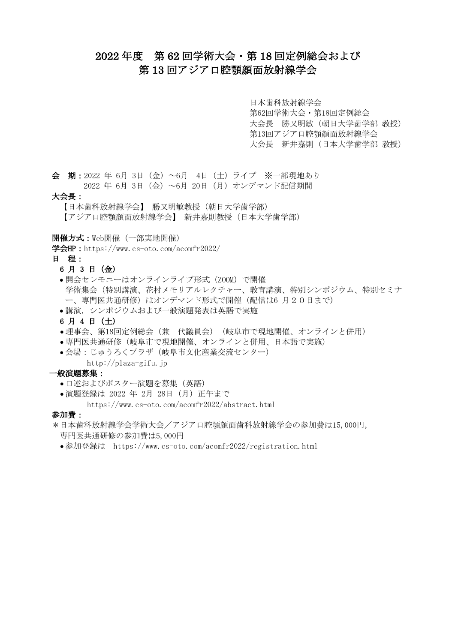# 2022 年度 第 62 回学術大会・第 18 回定例総会および 第 13 回アジア口腔顎顔面放射線学会

日本歯科放射線学会 第62回学術大会・第18回定例総会 大会長 勝又明敏(朝日大学歯学部 教授) 第13回アジア口腔顎顔面放射線学会 大会長 新井嘉則(日本大学歯学部 教授)

会 期:2022 年 6月 3日(金)~6月 4日(土)ライブ ※一部現地あり 2022 年 6月 3日(金)~6月 20日(月)オンデマンド配信期間

#### 大会長:

【日本歯科放射線学会】 勝又明敏教授(朝日大学歯学部) 【アジア口腔顎顔面放射線学会】 新井嘉則教授(日本大学歯学部)

開催方式:Web開催(一部実地開催)

学会HP: https://www.cs-oto.com/acomfr2022/

#### 日 程:

## 6 月 3 日(金)

- ●開会セレモニーはオンラインライブ形式 (ZOOM) で開催 学術集会(特別講演、花村メモリアルレクチャー、教育講演、特別シンポジウム、特別セミナ ー、専門医共通研修)はオンデマンド形式で開催(配信は6月20日まで)
- 講演,シンポジウムおよび一般演題発表は英語で実施
- 6 月 4 日(土)
- 理事会、第18回定例総会(兼 代議員会)(岐阜市で現地開催、オンラインと併用)
- 専門医共通研修(岐阜市で現地開催、オンラインと併用、日本語で実施)
- 会場: じゅうろくプラザ(岐阜市文化産業交流センター)
	- http://plaza-gifu.jp

## 一般演題募集:

- 口述およびポスター演題を募集(英語)
- ●演題登録は 2022 年 2月 28日 (月) 正午まで

https://www.cs-oto.com/acomfr2022/abstract.html

## 参加費:

- \*日本歯科放射線学会学術大会/アジア口腔顎顔面歯科放射線学会の参加費は15,000円, 専門医共通研修の参加費は5,000円
	- 参加登録は https://www.cs-oto.com/acomfr2022/registration.html